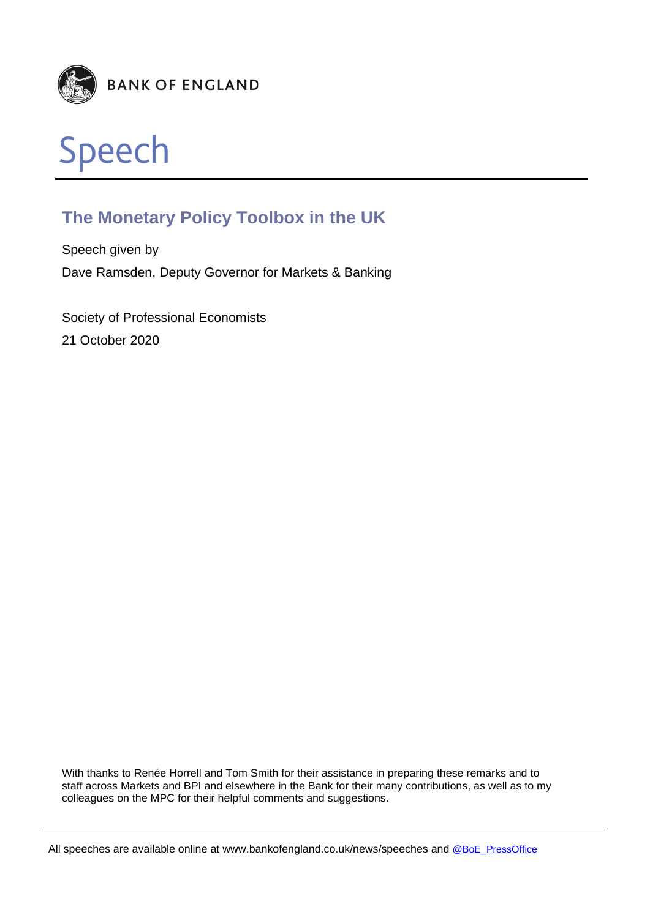



# **The Monetary Policy Toolbox in the UK**

Speech given by Dave Ramsden, Deputy Governor for Markets & Banking

Society of Professional Economists 21 October 2020

With thanks to Renée Horrell and Tom Smith for their assistance in preparing these remarks and to staff across Markets and BPI and elsewhere in the Bank for their many contributions, as well as to my colleagues on the MPC for their helpful comments and suggestions.

All speeches are available online at www.bankofengland.co.uk/news/speeches and [@BoE\\_PressOffice](https://twitter.com/boe_pressoffice)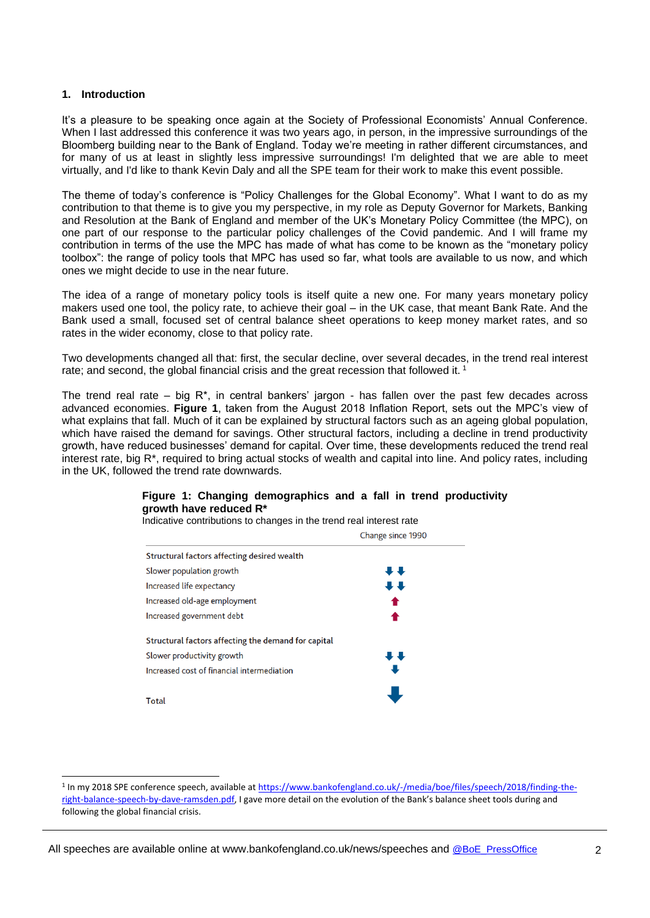# **1. Introduction**

l

It's a pleasure to be speaking once again at the Society of Professional Economists' Annual Conference. When I last addressed this conference it was two years ago, in person, in the impressive surroundings of the Bloomberg building near to the Bank of England. Today we're meeting in rather different circumstances, and for many of us at least in slightly less impressive surroundings! I'm delighted that we are able to meet virtually, and I'd like to thank Kevin Daly and all the SPE team for their work to make this event possible.

The theme of today's conference is "Policy Challenges for the Global Economy". What I want to do as my contribution to that theme is to give you my perspective, in my role as Deputy Governor for Markets, Banking and Resolution at the Bank of England and member of the UK's Monetary Policy Committee (the MPC), on one part of our response to the particular policy challenges of the Covid pandemic. And I will frame my contribution in terms of the use the MPC has made of what has come to be known as the "monetary policy toolbox": the range of policy tools that MPC has used so far, what tools are available to us now, and which ones we might decide to use in the near future.

The idea of a range of monetary policy tools is itself quite a new one. For many years monetary policy makers used one tool, the policy rate, to achieve their goal – in the UK case, that meant Bank Rate. And the Bank used a small, focused set of central balance sheet operations to keep money market rates, and so rates in the wider economy, close to that policy rate.

Two developments changed all that: first, the secular decline, over several decades, in the trend real interest rate; and second, the global financial crisis and the great recession that followed it.<sup>1</sup>

The trend real rate – big  $R^*$ , in central bankers' jargon - has fallen over the past few decades across advanced economies. **Figure 1**, taken from the August 2018 Inflation Report, sets out the MPC's view of what explains that fall. Much of it can be explained by structural factors such as an ageing global population, which have raised the demand for savings. Other structural factors, including a decline in trend productivity growth, have reduced businesses' demand for capital. Over time, these developments reduced the trend real interest rate, big R\*, required to bring actual stocks of wealth and capital into line. And policy rates, including in the UK, followed the trend rate downwards.

# **Figure 1: Changing demographics and a fall in trend productivity growth have reduced R\***

Indicative contributions to changes in the trend real interest rate

|                                                     | Change since 1990 |
|-----------------------------------------------------|-------------------|
| Structural factors affecting desired wealth         |                   |
| Slower population growth                            | ••                |
| Increased life expectancy                           | ↓↓                |
| Increased old-age employment                        |                   |
| Increased government debt                           |                   |
| Structural factors affecting the demand for capital |                   |
| Slower productivity growth                          | ••                |
| Increased cost of financial intermediation          |                   |
| Total                                               |                   |

<sup>&</sup>lt;sup>1</sup> In my 2018 SPE conference speech, available a[t https://www.bankofengland.co.uk/-/media/boe/files/speech/2018/finding-the](https://www.bankofengland.co.uk/-/media/boe/files/speech/2018/finding-the-right-balance-speech-by-dave-ramsden.pdf)[right-balance-speech-by-dave-ramsden.pdf,](https://www.bankofengland.co.uk/-/media/boe/files/speech/2018/finding-the-right-balance-speech-by-dave-ramsden.pdf) I gave more detail on the evolution of the Bank's balance sheet tools during and following the global financial crisis.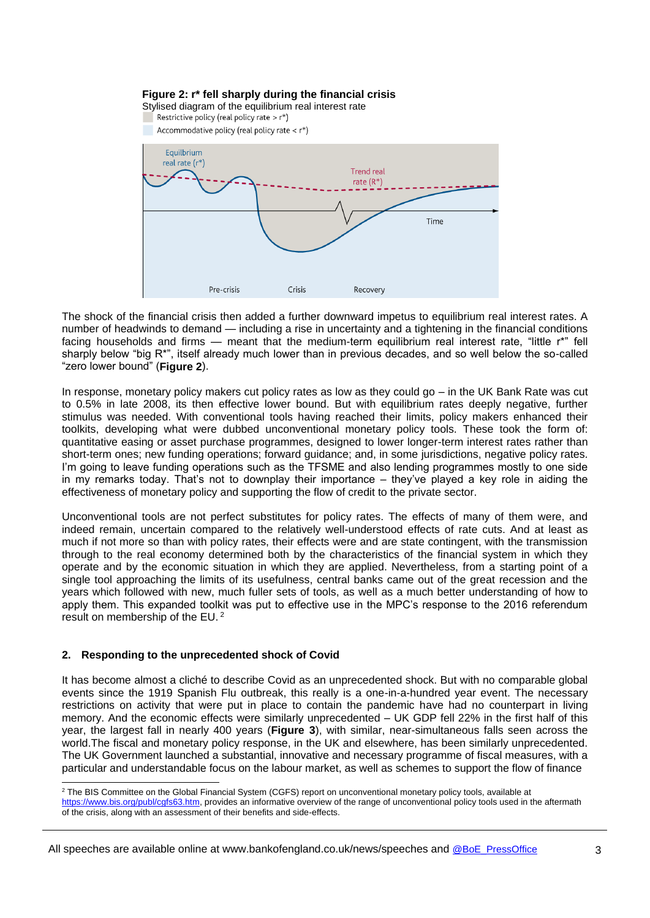

The shock of the financial crisis then added a further downward impetus to equilibrium real interest rates. A number of headwinds to demand — including a rise in uncertainty and a tightening in the financial conditions facing households and firms — meant that the medium-term equilibrium real interest rate. "little r\*" fell sharply below "big R\*", itself already much lower than in previous decades, and so well below the so-called "zero lower bound" (**Figure 2**).

In response, monetary policy makers cut policy rates as low as they could go – in the UK Bank Rate was cut to 0.5% in late 2008, its then effective lower bound. But with equilibrium rates deeply negative, further stimulus was needed. With conventional tools having reached their limits, policy makers enhanced their toolkits, developing what were dubbed unconventional monetary policy tools. These took the form of: quantitative easing or asset purchase programmes, designed to lower longer-term interest rates rather than short-term ones; new funding operations; forward guidance; and, in some jurisdictions, negative policy rates. I'm going to leave funding operations such as the TFSME and also lending programmes mostly to one side in my remarks today. That's not to downplay their importance – they've played a key role in aiding the effectiveness of monetary policy and supporting the flow of credit to the private sector.

Unconventional tools are not perfect substitutes for policy rates. The effects of many of them were, and indeed remain, uncertain compared to the relatively well-understood effects of rate cuts. And at least as much if not more so than with policy rates, their effects were and are state contingent, with the transmission through to the real economy determined both by the characteristics of the financial system in which they operate and by the economic situation in which they are applied. Nevertheless, from a starting point of a single tool approaching the limits of its usefulness, central banks came out of the great recession and the years which followed with new, much fuller sets of tools, as well as a much better understanding of how to apply them. This expanded toolkit was put to effective use in the MPC's response to the 2016 referendum result on membership of the EU. <sup>2</sup>

# **2. Responding to the unprecedented shock of Covid**

It has become almost a cliché to describe Covid as an unprecedented shock. But with no comparable global events since the 1919 Spanish Flu outbreak, this really is a one-in-a-hundred year event. The necessary restrictions on activity that were put in place to contain the pandemic have had no counterpart in living memory. And the economic effects were similarly unprecedented – UK GDP fell 22% in the first half of this year, the largest fall in nearly 400 years (**Figure 3**), with similar, near-simultaneous falls seen across the world.The fiscal and monetary policy response, in the UK and elsewhere, has been similarly unprecedented. The UK Government launched a substantial, innovative and necessary programme of fiscal measures, with a particular and understandable focus on the labour market, as well as schemes to support the flow of finance

l <sup>2</sup> The BIS Committee on the Global Financial System (CGFS) report on unconventional monetary policy tools, available at

[https://www.bis.org/publ/cgfs63.htm,](https://www.bis.org/publ/cgfs63.htm) provides an informative overview of the range of unconventional policy tools used in the aftermath of the crisis, along with an assessment of their benefits and side-effects.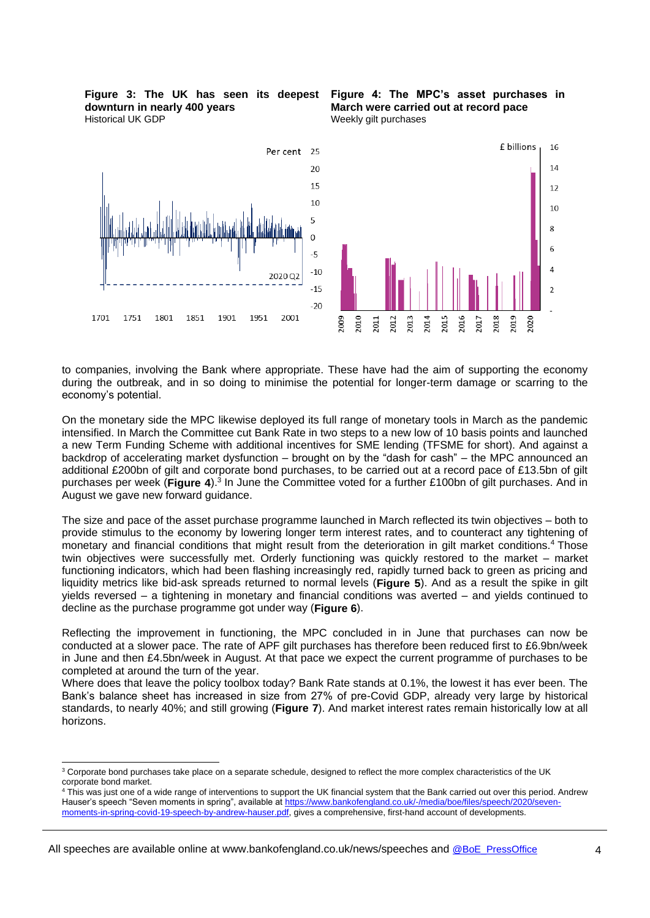**downturn in nearly 400 years** Historical UK GDP





to companies, involving the Bank where appropriate. These have had the aim of supporting the economy during the outbreak, and in so doing to minimise the potential for longer-term damage or scarring to the economy's potential.

On the monetary side the MPC likewise deployed its full range of monetary tools in March as the pandemic intensified. In March the Committee cut Bank Rate in two steps to a new low of 10 basis points and launched a new Term Funding Scheme with additional incentives for SME lending (TFSME for short). And against a backdrop of accelerating market dysfunction – brought on by the "dash for cash" – the MPC announced an additional £200bn of gilt and corporate bond purchases, to be carried out at a record pace of £13.5bn of gilt purchases per week (Figure 4).<sup>3</sup> In June the Committee voted for a further £100bn of gilt purchases. And in August we gave new forward guidance.

The size and pace of the asset purchase programme launched in March reflected its twin objectives – both to provide stimulus to the economy by lowering longer term interest rates, and to counteract any tightening of monetary and financial conditions that might result from the deterioration in gilt market conditions.<sup>4</sup> Those twin objectives were successfully met. Orderly functioning was quickly restored to the market – market functioning indicators, which had been flashing increasingly red, rapidly turned back to green as pricing and liquidity metrics like bid-ask spreads returned to normal levels (**Figure 5**). And as a result the spike in gilt yields reversed – a tightening in monetary and financial conditions was averted – and yields continued to decline as the purchase programme got under way (**Figure 6**).

Reflecting the improvement in functioning, the MPC concluded in in June that purchases can now be conducted at a slower pace. The rate of APF gilt purchases has therefore been reduced first to £6.9bn/week in June and then £4.5bn/week in August. At that pace we expect the current programme of purchases to be completed at around the turn of the year.

Where does that leave the policy toolbox today? Bank Rate stands at 0.1%, the lowest it has ever been. The Bank's balance sheet has increased in size from 27% of pre-Covid GDP, already very large by historical standards, to nearly 40%; and still growing (**Figure 7**). And market interest rates remain historically low at all horizons.

l

<sup>&</sup>lt;sup>3</sup> Corporate bond purchases take place on a separate schedule, designed to reflect the more complex characteristics of the UK corporate bond market.

<sup>&</sup>lt;sup>4</sup> This was just one of a wide range of interventions to support the UK financial system that the Bank carried out over this period. Andrew Hauser's speech "Seven moments in spring", available at [https://www.bankofengland.co.uk/-/media/boe/files/speech/2020/seven](https://www.bankofengland.co.uk/-/media/boe/files/speech/2020/seven-moments-in-spring-covid-19-speech-by-andrew-hauser.pdf)[moments-in-spring-covid-19-speech-by-andrew-hauser.pdf,](https://www.bankofengland.co.uk/-/media/boe/files/speech/2020/seven-moments-in-spring-covid-19-speech-by-andrew-hauser.pdf) gives a comprehensive, first-hand account of developments.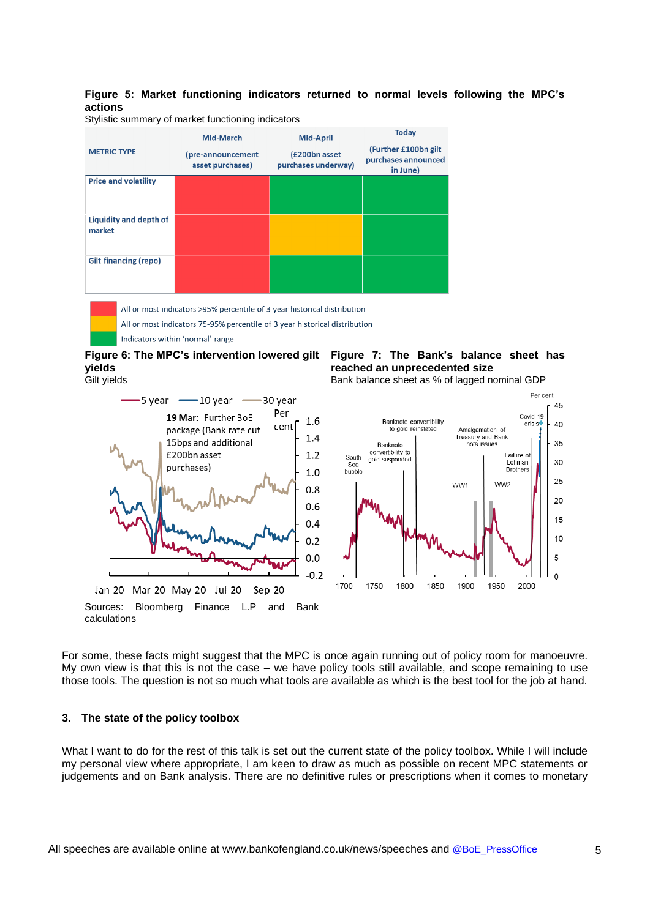# **Figure 5: Market functioning indicators returned to normal levels following the MPC's actions**

Stylistic summary of market functioning indicators



All or most indicators 75-95% percentile of 3 year historical distribution Indicators within 'normal' range

**Figure 6: The MPC's intervention lowered gilt Figure 7: The Bank's balance sheet has yields** Gilt yields



# **reached an unprecedented size**

Bank balance sheet as % of lagged nominal GDP



For some, these facts might suggest that the MPC is once again running out of policy room for manoeuvre. My own view is that this is not the case – we have policy tools still available, and scope remaining to use those tools. The question is not so much what tools are available as which is the best tool for the job at hand.

# **3. The state of the policy toolbox**

What I want to do for the rest of this talk is set out the current state of the policy toolbox. While I will include my personal view where appropriate, I am keen to draw as much as possible on recent MPC statements or judgements and on Bank analysis. There are no definitive rules or prescriptions when it comes to monetary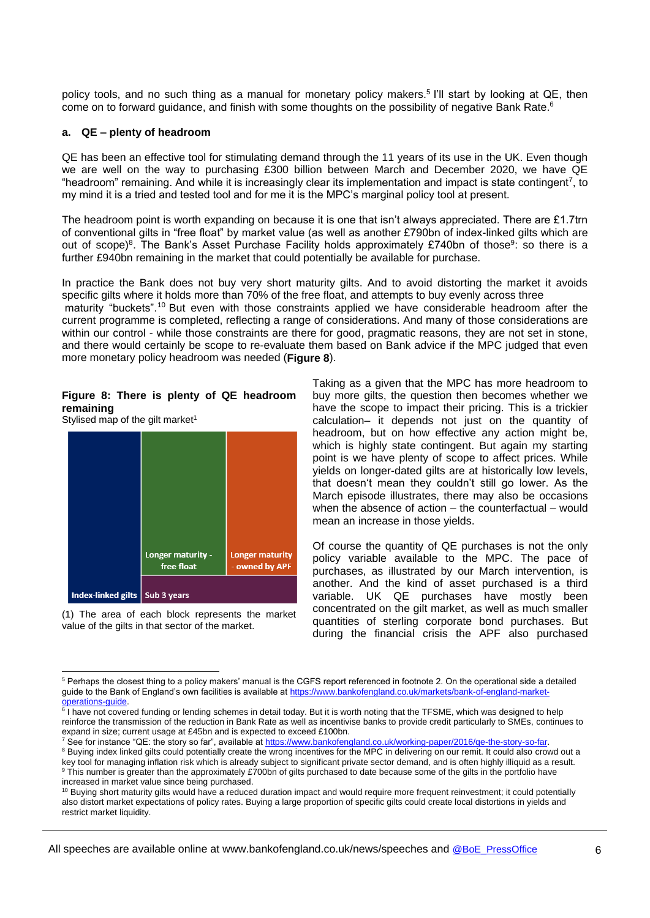policy tools, and no such thing as a manual for monetary policy makers.<sup>5</sup> I'll start by looking at QE, then come on to forward guidance, and finish with some thoughts on the possibility of negative Bank Rate.<sup>6</sup>

### **a. QE – plenty of headroom**

QE has been an effective tool for stimulating demand through the 11 years of its use in the UK. Even though we are well on the way to purchasing £300 billion between March and December 2020, we have QE "headroom" remaining. And while it is increasingly clear its implementation and impact is state contingent<sup>7</sup>, to my mind it is a tried and tested tool and for me it is the MPC's marginal policy tool at present.

The headroom point is worth expanding on because it is one that isn't always appreciated. There are £1.7trn of conventional gilts in "free float" by market value (as well as another £790bn of index-linked gilts which are out of scope)<sup>8</sup>. The Bank's Asset Purchase Facility holds approximately £740bn of those<sup>9</sup>: so there is a further £940bn remaining in the market that could potentially be available for purchase.

In practice the Bank does not buy very short maturity gilts. And to avoid distorting the market it avoids specific gilts where it holds more than 70% of the free float, and attempts to buy evenly across three maturity "buckets".<sup>10</sup> But even with those constraints applied we have considerable headroom after the current programme is completed, reflecting a range of considerations. And many of those considerations are within our control - while those constraints are there for good, pragmatic reasons, they are not set in stone, and there would certainly be scope to re-evaluate them based on Bank advice if the MPC judged that even more monetary policy headroom was needed (**Figure 8**).

# **Figure 8: There is plenty of QE headroom remaining**

Stylised map of the gilt market $1$ 

l



(1) The area of each block represents the market value of the gilts in that sector of the market.

Taking as a given that the MPC has more headroom to buy more gilts, the question then becomes whether we have the scope to impact their pricing. This is a trickier calculation– it depends not just on the quantity of headroom, but on how effective any action might be, which is highly state contingent. But again my starting point is we have plenty of scope to affect prices. While yields on longer-dated gilts are at historically low levels, that doesn't mean they couldn't still go lower. As the March episode illustrates, there may also be occasions when the absence of action – the counterfactual – would mean an increase in those yields.

Of course the quantity of QE purchases is not the only policy variable available to the MPC. The pace of purchases, as illustrated by our March intervention, is another. And the kind of asset purchased is a third variable. UK QE purchases have mostly been concentrated on the gilt market, as well as much smaller quantities of sterling corporate bond purchases. But during the financial crisis the APF also purchased

<sup>5</sup> Perhaps the closest thing to a policy makers' manual is the CGFS report referenced in footnote 2. On the operational side a detailed guide to the Bank of England's own facilities is available a[t https://www.bankofengland.co.uk/markets/bank-of-england-market-](https://www.bankofengland.co.uk/markets/bank-of-england-market-operations-guide)

<sup>&</sup>lt;u>operations-guide</u>.<br><sup>6</sup> I have not covered funding or lending schemes in detail today. But it is worth noting that the TFSME, which was designed to help reinforce the transmission of the reduction in Bank Rate as well as incentivise banks to provide credit particularly to SMEs, continues to expand in size; current usage at £45bn and is expected to exceed £100bn.

<sup>&</sup>lt;sup>7</sup> See for instance "QE: the story so far", available at [https://www.bankofengland.co.uk/working-paper/2016/qe-the-story-so-far.](https://www.bankofengland.co.uk/working-paper/2016/qe-the-story-so-far)

<sup>&</sup>lt;sup>8</sup> Buying index linked gilts could potentially create the wrong incentives for the MPC in delivering on our remit. It could also crowd out a key tool for managing inflation risk which is already subject to significant private sector demand, and is often highly illiquid as a result. 9 This number is greater than the approximately £700bn of gilts purchased to date because some of the gilts in the portfolio have increased in market value since being purchased.

<sup>&</sup>lt;sup>10</sup> Buying short maturity gilts would have a reduced duration impact and would require more frequent reinvestment; it could potentially also distort market expectations of policy rates. Buying a large proportion of specific gilts could create local distortions in yields and restrict market liquidity.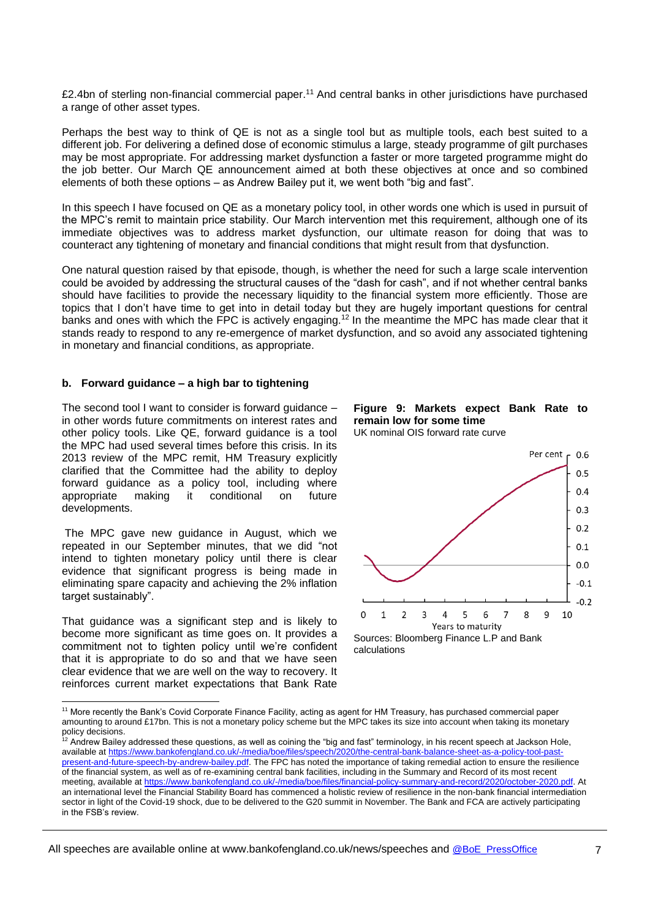£2.4bn of sterling non-financial commercial paper.<sup>11</sup> And central banks in other jurisdictions have purchased a range of other asset types.

Perhaps the best way to think of QE is not as a single tool but as multiple tools, each best suited to a different job. For delivering a defined dose of economic stimulus a large, steady programme of gilt purchases may be most appropriate. For addressing market dysfunction a faster or more targeted programme might do the job better. Our March QE announcement aimed at both these objectives at once and so combined elements of both these options – as Andrew Bailey put it, we went both "big and fast".

In this speech I have focused on QE as a monetary policy tool, in other words one which is used in pursuit of the MPC's remit to maintain price stability. Our March intervention met this requirement, although one of its immediate objectives was to address market dysfunction, our ultimate reason for doing that was to counteract any tightening of monetary and financial conditions that might result from that dysfunction.

One natural question raised by that episode, though, is whether the need for such a large scale intervention could be avoided by addressing the structural causes of the "dash for cash", and if not whether central banks should have facilities to provide the necessary liquidity to the financial system more efficiently. Those are topics that I don't have time to get into in detail today but they are hugely important questions for central banks and ones with which the FPC is actively engaging.<sup>12</sup> In the meantime the MPC has made clear that it stands ready to respond to any re-emergence of market dysfunction, and so avoid any associated tightening in monetary and financial conditions, as appropriate.

# **b. Forward guidance – a high bar to tightening**

The second tool I want to consider is forward guidance – in other words future commitments on interest rates and other policy tools. Like QE, forward guidance is a tool the MPC had used several times before this crisis. In its 2013 review of the MPC remit, HM Treasury explicitly clarified that the Committee had the ability to deploy forward guidance as a policy tool, including where appropriate making it conditional on future developments.

The MPC gave new guidance in August, which we repeated in our September minutes, that we did "not intend to tighten monetary policy until there is clear evidence that significant progress is being made in eliminating spare capacity and achieving the 2% inflation target sustainably".

That guidance was a significant step and is likely to become more significant as time goes on. It provides a commitment not to tighten policy until we're confident that it is appropriate to do so and that we have seen clear evidence that we are well on the way to recovery. It reinforces current market expectations that Bank Rate

l





Sources: Bloomberg Finance L.P and Bank calculations

<sup>&</sup>lt;sup>11</sup> More recently the Bank's Covid Corporate Finance Facility, acting as agent for HM Treasury, has purchased commercial paper amounting to around £17bn. This is not a monetary policy scheme but the MPC takes its size into account when taking its monetary policy decisions.

 $12$  Andrew Bailey addressed these questions, as well as coining the "big and fast" terminology, in his recent speech at Jackson Hole, available a[t https://www.bankofengland.co.uk/-/media/boe/files/speech/2020/the-central-bank-balance-sheet-as-a-policy-tool-past](https://www.bankofengland.co.uk/-/media/boe/files/speech/2020/the-central-bank-balance-sheet-as-a-policy-tool-past-present-and-future-speech-by-andrew-bailey.pdf)[present-and-future-speech-by-andrew-bailey.pdf.](https://www.bankofengland.co.uk/-/media/boe/files/speech/2020/the-central-bank-balance-sheet-as-a-policy-tool-past-present-and-future-speech-by-andrew-bailey.pdf) The FPC has noted the importance of taking remedial action to ensure the resilience of the financial system, as well as of re-examining central bank facilities, including in the Summary and Record of its most recent meeting, available a[t https://www.bankofengland.co.uk/-/media/boe/files/financial-policy-summary-and-record/2020/october-2020.pdf.](https://www.bankofengland.co.uk/-/media/boe/files/financial-policy-summary-and-record/2020/october-2020.pdf) At an international level the Financial Stability Board has commenced a holistic review of resilience in the non-bank financial intermediation sector in light of the Covid-19 shock, due to be delivered to the G20 summit in November. The Bank and FCA are actively participating in the FSB's review.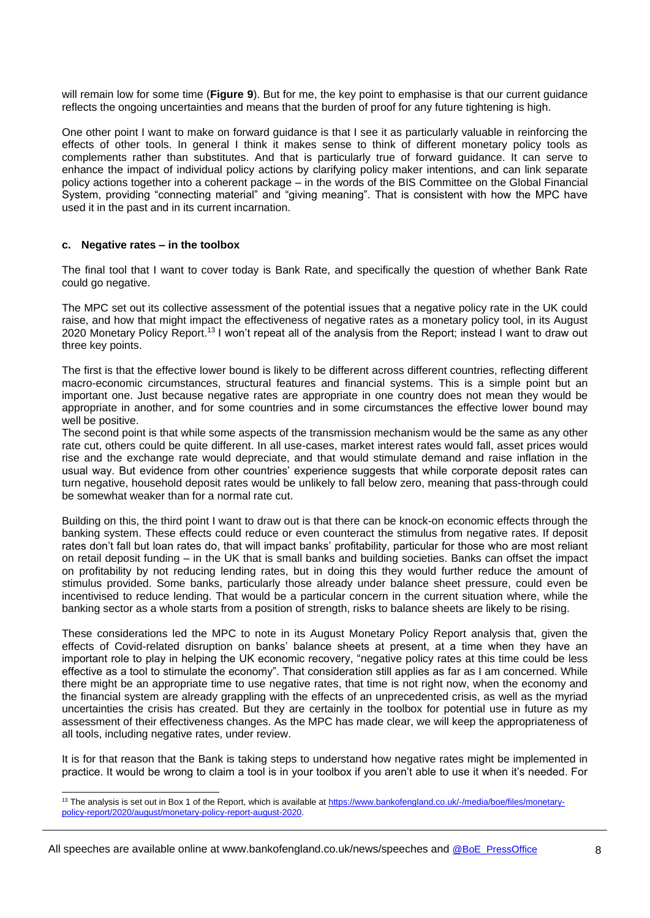will remain low for some time (**Figure 9**). But for me, the key point to emphasise is that our current guidance reflects the ongoing uncertainties and means that the burden of proof for any future tightening is high.

One other point I want to make on forward guidance is that I see it as particularly valuable in reinforcing the effects of other tools. In general I think it makes sense to think of different monetary policy tools as complements rather than substitutes. And that is particularly true of forward guidance. It can serve to enhance the impact of individual policy actions by clarifying policy maker intentions, and can link separate policy actions together into a coherent package – in the words of the BIS Committee on the Global Financial System, providing "connecting material" and "giving meaning". That is consistent with how the MPC have used it in the past and in its current incarnation.

#### **c. Negative rates – in the toolbox**

l

The final tool that I want to cover today is Bank Rate, and specifically the question of whether Bank Rate could go negative.

The MPC set out its collective assessment of the potential issues that a negative policy rate in the UK could raise, and how that might impact the effectiveness of negative rates as a monetary policy tool, in its August 2020 Monetary Policy Report.<sup>13</sup> I won't repeat all of the analysis from the Report; instead I want to draw out three key points.

The first is that the effective lower bound is likely to be different across different countries, reflecting different macro-economic circumstances, structural features and financial systems. This is a simple point but an important one. Just because negative rates are appropriate in one country does not mean they would be appropriate in another, and for some countries and in some circumstances the effective lower bound may well be positive.

The second point is that while some aspects of the transmission mechanism would be the same as any other rate cut, others could be quite different. In all use-cases, market interest rates would fall, asset prices would rise and the exchange rate would depreciate, and that would stimulate demand and raise inflation in the usual way. But evidence from other countries' experience suggests that while corporate deposit rates can turn negative, household deposit rates would be unlikely to fall below zero, meaning that pass-through could be somewhat weaker than for a normal rate cut.

Building on this, the third point I want to draw out is that there can be knock-on economic effects through the banking system. These effects could reduce or even counteract the stimulus from negative rates. If deposit rates don't fall but loan rates do, that will impact banks' profitability, particular for those who are most reliant on retail deposit funding – in the UK that is small banks and building societies. Banks can offset the impact on profitability by not reducing lending rates, but in doing this they would further reduce the amount of stimulus provided. Some banks, particularly those already under balance sheet pressure, could even be incentivised to reduce lending. That would be a particular concern in the current situation where, while the banking sector as a whole starts from a position of strength, risks to balance sheets are likely to be rising.

These considerations led the MPC to note in its August Monetary Policy Report analysis that, given the effects of Covid-related disruption on banks' balance sheets at present, at a time when they have an important role to play in helping the UK economic recovery, "negative policy rates at this time could be less effective as a tool to stimulate the economy". That consideration still applies as far as I am concerned. While there might be an appropriate time to use negative rates, that time is not right now, when the economy and the financial system are already grappling with the effects of an unprecedented crisis, as well as the myriad uncertainties the crisis has created. But they are certainly in the toolbox for potential use in future as my assessment of their effectiveness changes. As the MPC has made clear, we will keep the appropriateness of all tools, including negative rates, under review.

It is for that reason that the Bank is taking steps to understand how negative rates might be implemented in practice. It would be wrong to claim a tool is in your toolbox if you aren't able to use it when it's needed. For

<sup>&</sup>lt;sup>13</sup> The analysis is set out in Box 1 of the Report, which is available at [https://www.bankofengland.co.uk/-/media/boe/files/monetary](https://www.bankofengland.co.uk/-/media/boe/files/monetary-policy-report/2020/august/monetary-policy-report-august-2020)[policy-report/2020/august/monetary-policy-report-august-2020.](https://www.bankofengland.co.uk/-/media/boe/files/monetary-policy-report/2020/august/monetary-policy-report-august-2020)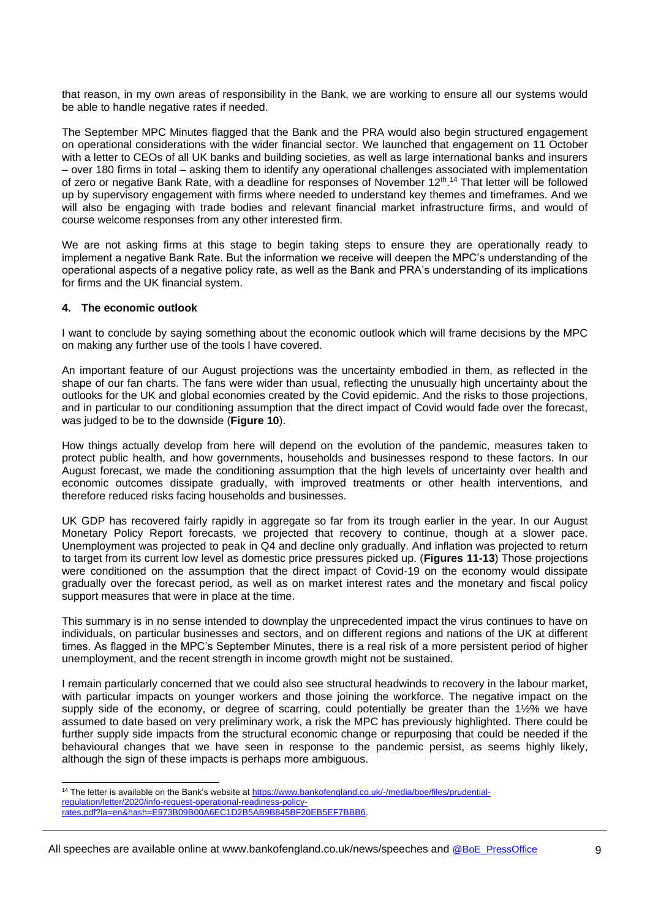that reason, in my own areas of responsibility in the Bank, we are working to ensure all our systems would be able to handle negative rates if needed.

The September MPC Minutes flagged that the Bank and the PRA would also begin structured engagement on operational considerations with the wider financial sector. We launched that engagement on 11 October with a letter to CEOs of all UK banks and building societies, as well as large international banks and insurers – over 180 firms in total – asking them to identify any operational challenges associated with implementation of zero or negative Bank Rate, with a deadline for responses of November 12<sup>th</sup>.<sup>14</sup> That letter will be followed up by supervisory engagement with firms where needed to understand key themes and timeframes. And we will also be engaging with trade bodies and relevant financial market infrastructure firms, and would of course welcome responses from any other interested firm.

We are not asking firms at this stage to begin taking steps to ensure they are operationally ready to implement a negative Bank Rate. But the information we receive will deepen the MPC's understanding of the operational aspects of a negative policy rate, as well as the Bank and PRA's understanding of its implications for firms and the UK financial system.

# **4. The economic outlook**

l

I want to conclude by saying something about the economic outlook which will frame decisions by the MPC on making any further use of the tools I have covered.

An important feature of our August projections was the uncertainty embodied in them, as reflected in the shape of our fan charts. The fans were wider than usual, reflecting the unusually high uncertainty about the outlooks for the UK and global economies created by the Covid epidemic. And the risks to those projections, and in particular to our conditioning assumption that the direct impact of Covid would fade over the forecast, was judged to be to the downside (**Figure 10**).

How things actually develop from here will depend on the evolution of the pandemic, measures taken to protect public health, and how governments, households and businesses respond to these factors. In our August forecast, we made the conditioning assumption that the high levels of uncertainty over health and economic outcomes dissipate gradually, with improved treatments or other health interventions, and therefore reduced risks facing households and businesses.

UK GDP has recovered fairly rapidly in aggregate so far from its trough earlier in the year. In our August Monetary Policy Report forecasts, we projected that recovery to continue, though at a slower pace. Unemployment was projected to peak in Q4 and decline only gradually. And inflation was projected to return to target from its current low level as domestic price pressures picked up. (**Figures 11-13**) Those projections were conditioned on the assumption that the direct impact of Covid-19 on the economy would dissipate gradually over the forecast period, as well as on market interest rates and the monetary and fiscal policy support measures that were in place at the time.

This summary is in no sense intended to downplay the unprecedented impact the virus continues to have on individuals, on particular businesses and sectors, and on different regions and nations of the UK at different times. As flagged in the MPC's September Minutes, there is a real risk of a more persistent period of higher unemployment, and the recent strength in income growth might not be sustained.

I remain particularly concerned that we could also see structural headwinds to recovery in the labour market, with particular impacts on younger workers and those joining the workforce. The negative impact on the supply side of the economy, or degree of scarring, could potentially be greater than the 1½% we have assumed to date based on very preliminary work, a risk the MPC has previously highlighted. There could be further supply side impacts from the structural economic change or repurposing that could be needed if the behavioural changes that we have seen in response to the pandemic persist, as seems highly likely, although the sign of these impacts is perhaps more ambiguous.

<sup>&</sup>lt;sup>14</sup> The letter is available on the Bank's website at [https://www.bankofengland.co.uk/-/media/boe/files/prudential](https://www.bankofengland.co.uk/-/media/boe/files/prudential-regulation/letter/2020/info-request-operational-readiness-policy-rates.pdf?la=en&hash=E973B09B00A6EC1D2B5AB9B845BF20EB5EF7BBB6)[regulation/letter/2020/info-request-operational-readiness-policy](https://www.bankofengland.co.uk/-/media/boe/files/prudential-regulation/letter/2020/info-request-operational-readiness-policy-rates.pdf?la=en&hash=E973B09B00A6EC1D2B5AB9B845BF20EB5EF7BBB6)[rates.pdf?la=en&hash=E973B09B00A6EC1D2B5AB9B845BF20EB5EF7BBB6.](https://www.bankofengland.co.uk/-/media/boe/files/prudential-regulation/letter/2020/info-request-operational-readiness-policy-rates.pdf?la=en&hash=E973B09B00A6EC1D2B5AB9B845BF20EB5EF7BBB6)